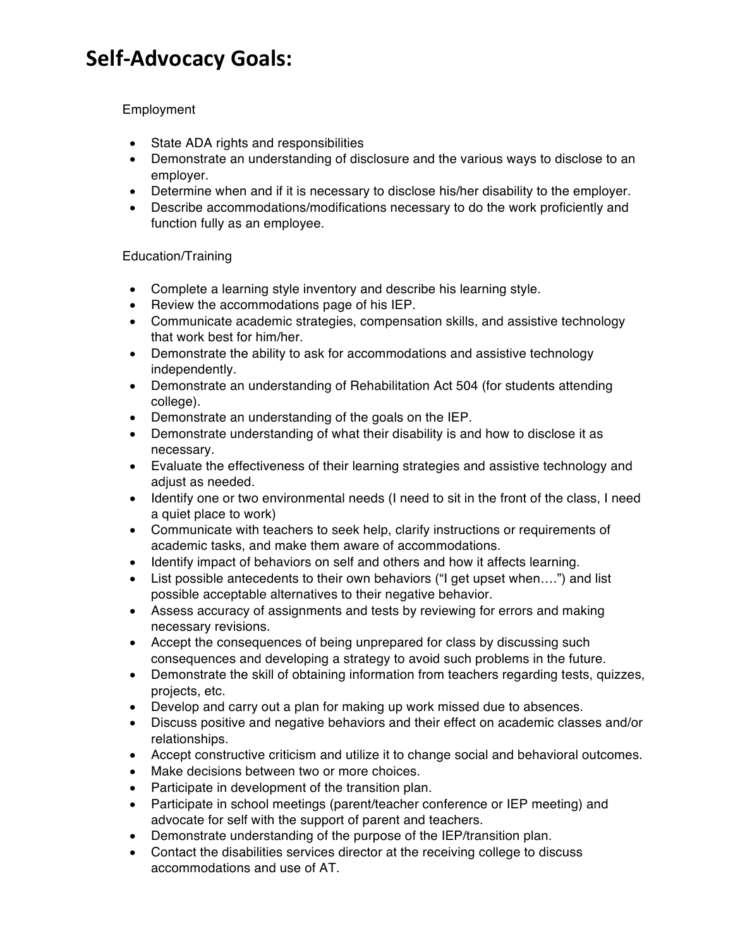# **Self-Advocacy Goals:**

## **Employment**

- State ADA rights and responsibilities
- Demonstrate an understanding of disclosure and the various ways to disclose to an employer.
- Determine when and if it is necessary to disclose his/her disability to the employer.
- Describe accommodations/modifications necessary to do the work proficiently and function fully as an employee.

## Education/Training

- Complete a learning style inventory and describe his learning style.
- Review the accommodations page of his IEP.
- Communicate academic strategies, compensation skills, and assistive technology that work best for him/her.
- Demonstrate the ability to ask for accommodations and assistive technology independently.
- Demonstrate an understanding of Rehabilitation Act 504 (for students attending college).
- Demonstrate an understanding of the goals on the IEP.
- Demonstrate understanding of what their disability is and how to disclose it as necessary.
- Evaluate the effectiveness of their learning strategies and assistive technology and adiust as needed.
- Identify one or two environmental needs (I need to sit in the front of the class, I need a quiet place to work)
- Communicate with teachers to seek help, clarify instructions or requirements of academic tasks, and make them aware of accommodations.
- Identify impact of behaviors on self and others and how it affects learning.
- List possible antecedents to their own behaviors ("I get upset when....") and list possible acceptable alternatives to their negative behavior.
- Assess accuracy of assignments and tests by reviewing for errors and making necessary revisions.
- Accept the consequences of being unprepared for class by discussing such consequences and developing a strategy to avoid such problems in the future.
- Demonstrate the skill of obtaining information from teachers regarding tests, quizzes, projects, etc.
- Develop and carry out a plan for making up work missed due to absences.
- Discuss positive and negative behaviors and their effect on academic classes and/or relationships.
- Accept constructive criticism and utilize it to change social and behavioral outcomes.
- Make decisions between two or more choices.
- Participate in development of the transition plan.
- Participate in school meetings (parent/teacher conference or IEP meeting) and advocate for self with the support of parent and teachers.
- Demonstrate understanding of the purpose of the IEP/transition plan.
- Contact the disabilities services director at the receiving college to discuss accommodations and use of AT.